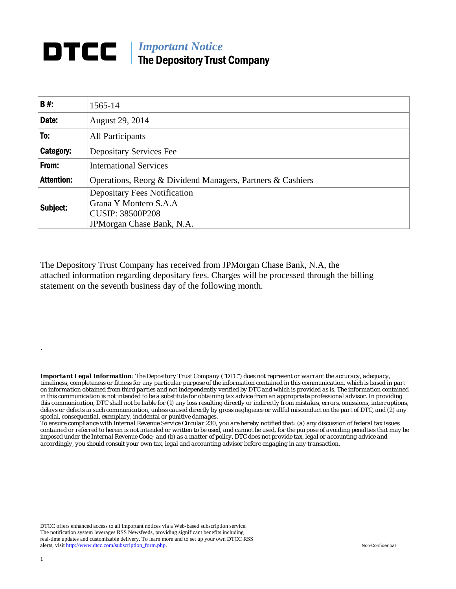## **DTCC** | *Important Notice* The Depository Trust Company

| <b>B#:</b>        | 1565-14                                                                                                               |  |  |  |  |  |
|-------------------|-----------------------------------------------------------------------------------------------------------------------|--|--|--|--|--|
| Date:             | August 29, 2014                                                                                                       |  |  |  |  |  |
| To:               | All Participants                                                                                                      |  |  |  |  |  |
| Category:         | <b>Depositary Services Fee</b>                                                                                        |  |  |  |  |  |
| From:             | <b>International Services</b>                                                                                         |  |  |  |  |  |
| <b>Attention:</b> | Operations, Reorg & Dividend Managers, Partners & Cashiers                                                            |  |  |  |  |  |
| Subject:          | <b>Depositary Fees Notification</b><br>Grana Y Montero S.A.A<br><b>CUSIP: 38500P208</b><br>JPM organ Chase Bank, N.A. |  |  |  |  |  |

The Depository Trust Company has received from JPMorgan Chase Bank, N.A, the attached information regarding depositary fees. Charges will be processed through the billing statement on the seventh business day of the following month.

*Important Legal Information: The Depository Trust Company ("DTC") does not represent or warrant the accuracy, adequacy, timeliness, completeness or fitness for any particular purpose of the information contained in this communication, which is based in part on information obtained from third parties and not independently verified by DTC and which is provided as is. The information contained in this communication is not intended to be a substitute for obtaining tax advice from an appropriate professional advisor. In providing this communication, DTC shall not be liable for (1) any loss resulting directly or indirectly from mistakes, errors, omissions, interruptions, delays or defects in such communication, unless caused directly by gross negligence or willful misconduct on the part of DTC, and (2) any special, consequential, exemplary, incidental or punitive damages.* 

*To ensure compliance with Internal Revenue Service Circular 230, you are hereby notified that: (a) any discussion of federal tax issues contained or referred to herein is not intended or written to be used, and cannot be used, for the purpose of avoiding penalties that may be imposed under the Internal Revenue Code; and (b) as a matter of policy, DTC does not provide tax, legal or accounting advice and accordingly, you should consult your own tax, legal and accounting advisor before engaging in any transaction.*

DTCC offers enhanced access to all important notices via a Web-based subscription service. The notification system leverages RSS Newsfeeds, providing significant benefits including real-time updates and customizable delivery. To learn more and to set up your own DTCC RSS alerts, visit http://www.dtcc.com/subscription\_form.php. Non-Confidential

.